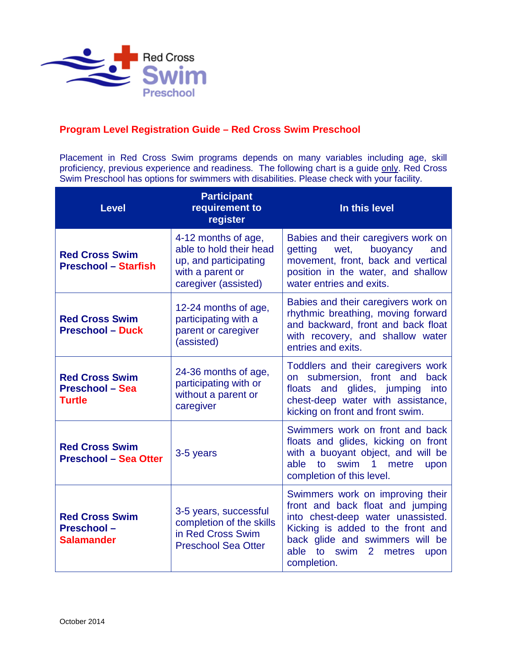

## **Program Level Registration Guide – Red Cross Swim Preschool**

Placement in Red Cross Swim programs depends on many variables including age, skill proficiency, previous experience and readiness. The following chart is a guide only. Red Cross Swim Preschool has options for swimmers with disabilities. Please check with your facility.

| <b>Level</b>                                                     | <b>Participant</b><br>requirement to<br>register                                                                    | In this level                                                                                                                                                                                                                                           |
|------------------------------------------------------------------|---------------------------------------------------------------------------------------------------------------------|---------------------------------------------------------------------------------------------------------------------------------------------------------------------------------------------------------------------------------------------------------|
| <b>Red Cross Swim</b><br><b>Preschool - Starfish</b>             | 4-12 months of age,<br>able to hold their head<br>up, and participating<br>with a parent or<br>caregiver (assisted) | Babies and their caregivers work on<br>getting<br>wet,<br>buoyancy<br>and<br>movement, front, back and vertical<br>position in the water, and shallow<br>water entries and exits.                                                                       |
| <b>Red Cross Swim</b><br><b>Preschool - Duck</b>                 | 12-24 months of age,<br>participating with a<br>parent or caregiver<br>(assisted)                                   | Babies and their caregivers work on<br>rhythmic breathing, moving forward<br>and backward, front and back float<br>with recovery, and shallow water<br>entries and exits.                                                                               |
| <b>Red Cross Swim</b><br><b>Preschool - Sea</b><br><b>Turtle</b> | 24-36 months of age,<br>participating with or<br>without a parent or<br>caregiver                                   | Toddlers and their caregivers work<br>on submersion, front and<br>back<br>floats and glides, jumping<br>into<br>chest-deep water with assistance,<br>kicking on front and front swim.                                                                   |
| <b>Red Cross Swim</b><br><b>Preschool - Sea Otter</b>            | 3-5 years                                                                                                           | Swimmers work on front and back<br>floats and glides, kicking on front<br>with a buoyant object, and will be<br>swim 1<br>able to<br>metre<br>upon<br>completion of this level.                                                                         |
| <b>Red Cross Swim</b><br><b>Preschool-</b><br><b>Salamander</b>  | 3-5 years, successful<br>completion of the skills<br>in Red Cross Swim<br><b>Preschool Sea Otter</b>                | Swimmers work on improving their<br>front and back float and jumping<br>into chest-deep water unassisted.<br>Kicking is added to the front and<br>back glide and swimmers will be<br>able to<br>swim<br>2 <sup>1</sup><br>metres<br>upon<br>completion. |